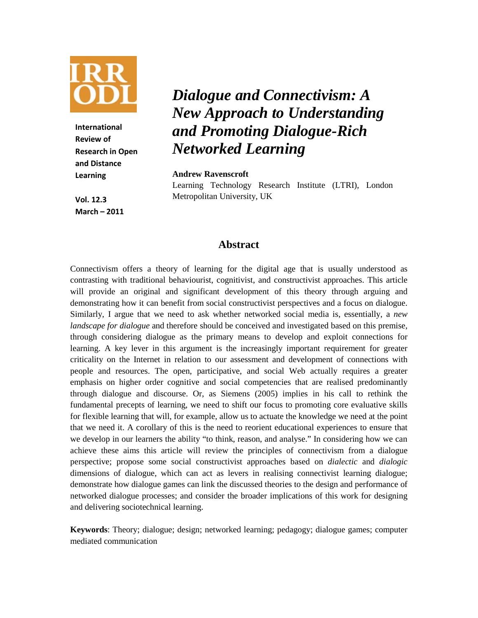

**International Review of Research in Open and Distance Learning** 

# *Dialogue and Connectivism: A New Approach to Understanding and Promoting Dialogue-Rich Networked Learning*

**Andrew Ravenscroft**

Learning Technology Research Institute (LTRI), London Metropolitan University, UK

**Vol. 12.3 March – 2011**

#### **Abstract**

Connectivism offers a theory of learning for the digital age that is usually understood as contrasting with traditional behaviourist, cognitivist, and constructivist approaches. This article will provide an original and significant development of this theory through arguing and demonstrating how it can benefit from social constructivist perspectives and a focus on dialogue. Similarly, I argue that we need to ask whether networked social media is, essentially, a *new landscape for dialogue* and therefore should be conceived and investigated based on this premise, through considering dialogue as the primary means to develop and exploit connections for learning. A key lever in this argument is the increasingly important requirement for greater criticality on the Internet in relation to our assessment and development of connections with people and resources. The open, participative, and social Web actually requires a greater emphasis on higher order cognitive and social competencies that are realised predominantly through dialogue and discourse. Or, as Siemens (2005) implies in his call to rethink the fundamental precepts of learning, we need to shift our focus to promoting core evaluative skills for flexible learning that will, for example, allow us to actuate the knowledge we need at the point that we need it. A corollary of this is the need to reorient educational experiences to ensure that we develop in our learners the ability "to think, reason, and analyse." In considering how we can achieve these aims this article will review the principles of connectivism from a dialogue perspective; propose some social constructivist approaches based on *dialectic* and *dialogic* dimensions of dialogue, which can act as levers in realising connectivist learning dialogue; demonstrate how dialogue games can link the discussed theories to the design and performance of networked dialogue processes; and consider the broader implications of this work for designing and delivering sociotechnical learning.

**Keywords**: Theory; dialogue; design; networked learning; pedagogy; dialogue games; computer mediated communication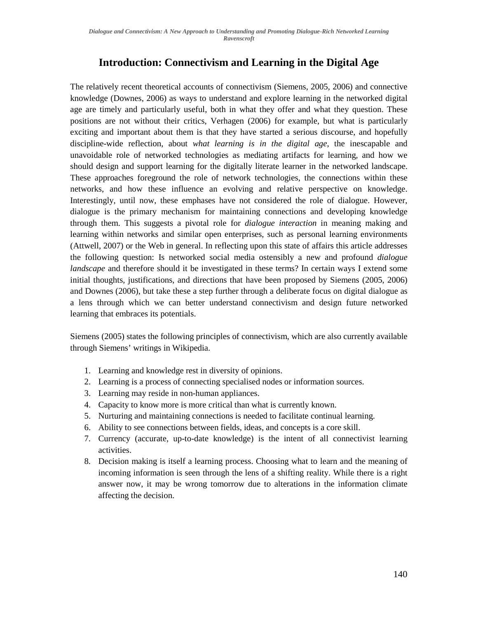# **Introduction: Connectivism and Learning in the Digital Age**

The relatively recent theoretical accounts of connectivism (Siemens, 2005, 2006) and connective knowledge (Downes, 2006) as ways to understand and explore learning in the networked digital age are timely and particularly useful, both in what they offer and what they question. These positions are not without their critics, Verhagen (2006) for example, but what is particularly exciting and important about them is that they have started a serious discourse, and hopefully discipline-wide reflection, about *what learning is in the digital age*, the inescapable and unavoidable role of networked technologies as mediating artifacts for learning, and how we should design and support learning for the digitally literate learner in the networked landscape. These approaches foreground the role of network technologies, the connections within these networks, and how these influence an evolving and relative perspective on knowledge. Interestingly, until now, these emphases have not considered the role of dialogue. However, dialogue is the primary mechanism for maintaining connections and developing knowledge through them. This suggests a pivotal role for *dialogue interaction* in meaning making and learning within networks and similar open enterprises, such as personal learning environments (Attwell, 2007) or the Web in general. In reflecting upon this state of affairs this article addresses the following question: Is networked social media ostensibly a new and profound *dialogue landscape* and therefore should it be investigated in these terms? In certain ways I extend some initial thoughts, justifications, and directions that have been proposed by Siemens (2005, 2006) and Downes (2006), but take these a step further through a deliberate focus on digital dialogue as a lens through which we can better understand connectivism and design future networked learning that embraces its potentials.

Siemens (2005) states the following principles of connectivism, which are also currently available through Siemens' writings in Wikipedia.

- 1. Learning and knowledge rest in diversity of opinions.
- 2. Learning is a process of connecting specialised nodes or information sources.
- 3. Learning may reside in non-human appliances.
- 4. Capacity to know more is more critical than what is currently known.
- 5. Nurturing and maintaining connections is needed to facilitate continual learning.
- 6. Ability to see connections between fields, ideas, and concepts is a core skill.
- 7. Currency (accurate, up-to-date knowledge) is the intent of all connectivist learning activities.
- 8. Decision making is itself a learning process. Choosing what to learn and the meaning of incoming information is seen through the lens of a shifting reality. While there is a right answer now, it may be wrong tomorrow due to alterations in the information climate affecting the decision.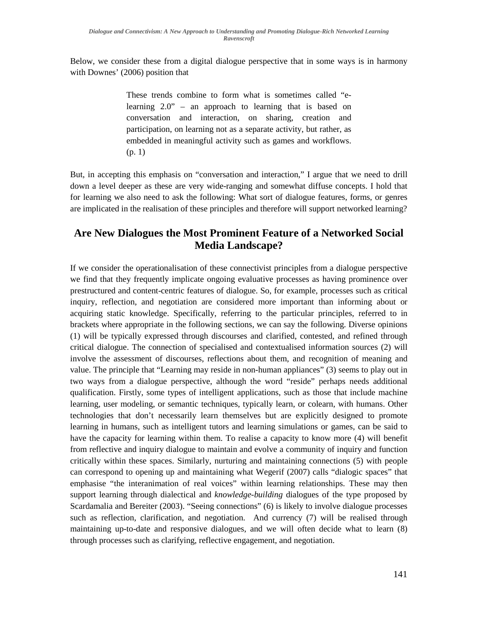Below, we consider these from a digital dialogue perspective that in some ways is in harmony with Downes' (2006) position that

> These trends combine to form what is sometimes called "elearning 2.0" – an approach to learning that is based on conversation and interaction, on sharing, creation and participation, on learning not as a separate activity, but rather, as embedded in meaningful activity such as games and workflows. (p. 1)

But, in accepting this emphasis on "conversation and interaction," I argue that we need to drill down a level deeper as these are very wide-ranging and somewhat diffuse concepts. I hold that for learning we also need to ask the following: What sort of dialogue features, forms, or genres are implicated in the realisation of these principles and therefore will support networked learning?

#### **Are New Dialogues the Most Prominent Feature of a Networked Social Media Landscape?**

If we consider the operationalisation of these connectivist principles from a dialogue perspective we find that they frequently implicate ongoing evaluative processes as having prominence over prestructured and content-centric features of dialogue. So, for example, processes such as critical inquiry, reflection, and negotiation are considered more important than informing about or acquiring static knowledge. Specifically, referring to the particular principles, referred to in brackets where appropriate in the following sections, we can say the following. Diverse opinions (1) will be typically expressed through discourses and clarified, contested, and refined through critical dialogue. The connection of specialised and contextualised information sources (2) will involve the assessment of discourses, reflections about them, and recognition of meaning and value. The principle that "Learning may reside in non-human appliances" (3) seems to play out in two ways from a dialogue perspective, although the word "reside" perhaps needs additional qualification. Firstly, some types of intelligent applications, such as those that include machine learning, user modeling, or semantic techniques, typically learn, or colearn, with humans. Other technologies that don't necessarily learn themselves but are explicitly designed to promote learning in humans, such as intelligent tutors and learning simulations or games, can be said to have the capacity for learning within them. To realise a capacity to know more (4) will benefit from reflective and inquiry dialogue to maintain and evolve a community of inquiry and function critically within these spaces. Similarly, nurturing and maintaining connections (5) with people can correspond to opening up and maintaining what Wegerif (2007) calls "dialogic spaces" that emphasise "the interanimation of real voices" within learning relationships. These may then support learning through dialectical and *knowledge-building* dialogues of the type proposed by Scardamalia and Bereiter (2003). "Seeing connections" (6) is likely to involve dialogue processes such as reflection, clarification, and negotiation. And currency (7) will be realised through maintaining up-to-date and responsive dialogues, and we will often decide what to learn (8) through processes such as clarifying, reflective engagement, and negotiation.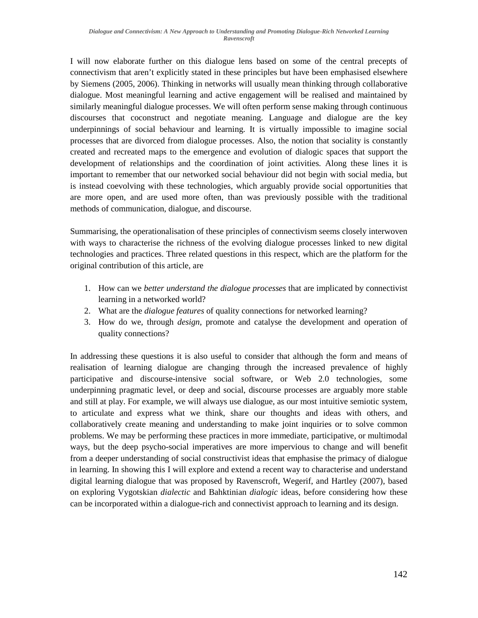I will now elaborate further on this dialogue lens based on some of the central precepts of connectivism that aren't explicitly stated in these principles but have been emphasised elsewhere by Siemens (2005, 2006). Thinking in networks will usually mean thinking through collaborative dialogue. Most meaningful learning and active engagement will be realised and maintained by similarly meaningful dialogue processes. We will often perform sense making through continuous discourses that coconstruct and negotiate meaning. Language and dialogue are the key underpinnings of social behaviour and learning. It is virtually impossible to imagine social processes that are divorced from dialogue processes. Also, the notion that sociality is constantly created and recreated maps to the emergence and evolution of dialogic spaces that support the development of relationships and the coordination of joint activities. Along these lines it is important to remember that our networked social behaviour did not begin with social media, but is instead coevolving with these technologies, which arguably provide social opportunities that are more open, and are used more often, than was previously possible with the traditional methods of communication, dialogue, and discourse.

Summarising, the operationalisation of these principles of connectivism seems closely interwoven with ways to characterise the richness of the evolving dialogue processes linked to new digital technologies and practices. Three related questions in this respect, which are the platform for the original contribution of this article, are

- 1. How can we *better understand the dialogue processes* that are implicated by connectivist learning in a networked world?
- 2. What are the *dialogue features* of quality connections for networked learning?
- 3. How do we, through *design*, promote and catalyse the development and operation of quality connections?

In addressing these questions it is also useful to consider that although the form and means of realisation of learning dialogue are changing through the increased prevalence of highly participative and discourse-intensive social software, or Web 2.0 technologies, some underpinning pragmatic level, or deep and social, discourse processes are arguably more stable and still at play. For example, we will always use dialogue, as our most intuitive semiotic system, to articulate and express what we think, share our thoughts and ideas with others, and collaboratively create meaning and understanding to make joint inquiries or to solve common problems. We may be performing these practices in more immediate, participative, or multimodal ways, but the deep psycho-social imperatives are more impervious to change and will benefit from a deeper understanding of social constructivist ideas that emphasise the primacy of dialogue in learning. In showing this I will explore and extend a recent way to characterise and understand digital learning dialogue that was proposed by Ravenscroft, Wegerif, and Hartley (2007), based on exploring Vygotskian *dialectic* and Bahktinian *dialogic* ideas, before considering how these can be incorporated within a dialogue-rich and connectivist approach to learning and its design.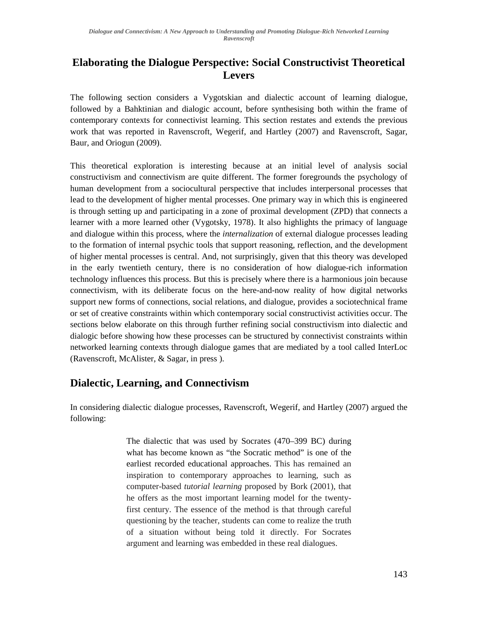### **Elaborating the Dialogue Perspective: Social Constructivist Theoretical Levers**

The following section considers a Vygotskian and dialectic account of learning dialogue, followed by a Bahktinian and dialogic account, before synthesising both within the frame of contemporary contexts for connectivist learning. This section restates and extends the previous work that was reported in Ravenscroft, Wegerif, and Hartley (2007) and Ravenscroft, Sagar, Baur, and Oriogun (2009).

This theoretical exploration is interesting because at an initial level of analysis social constructivism and connectivism are quite different. The former foregrounds the psychology of human development from a sociocultural perspective that includes interpersonal processes that lead to the development of higher mental processes. One primary way in which this is engineered is through setting up and participating in a zone of proximal development (ZPD) that connects a learner with a more learned other (Vygotsky, 1978). It also highlights the primacy of language and dialogue within this process, where the *internalization* of external dialogue processes leading to the formation of internal psychic tools that support reasoning, reflection, and the development of higher mental processes is central. And, not surprisingly, given that this theory was developed in the early twentieth century, there is no consideration of how dialogue-rich information technology influences this process. But this is precisely where there is a harmonious join because connectivism, with its deliberate focus on the here-and-now reality of how digital networks support new forms of connections, social relations, and dialogue, provides a sociotechnical frame or set of creative constraints within which contemporary social constructivist activities occur. The sections below elaborate on this through further refining social constructivism into dialectic and dialogic before showing how these processes can be structured by connectivist constraints within networked learning contexts through dialogue games that are mediated by a tool called InterLoc (Ravenscroft, McAlister, & Sagar, in press ).

# **Dialectic, Learning, and Connectivism**

In considering dialectic dialogue processes, Ravenscroft, Wegerif, and Hartley (2007) argued the following:

> The dialectic that was used by Socrates (470–399 BC) during what has become known as "the Socratic method" is one of the earliest recorded educational approaches. This has remained an inspiration to contemporary approaches to learning, such as computer-based *tutorial learning* proposed by Bork (2001), that he offers as the most important learning model for the twentyfirst century. The essence of the method is that through careful questioning by the teacher, students can come to realize the truth of a situation without being told it directly. For Socrates argument and learning was embedded in these real dialogues.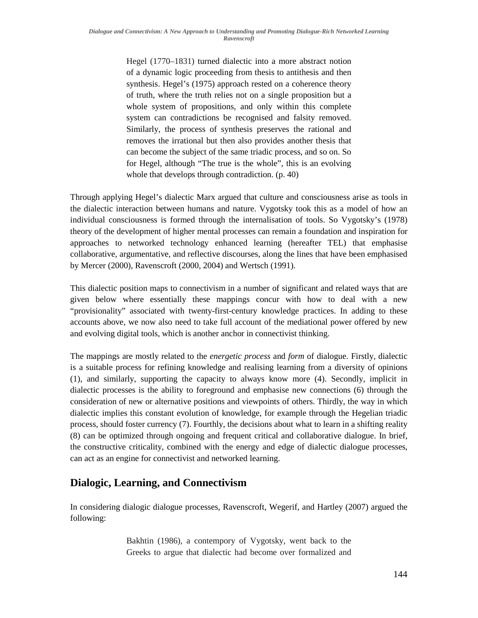Hegel (1770–1831) turned dialectic into a more abstract notion of a dynamic logic proceeding from thesis to antithesis and then synthesis. Hegel's (1975) approach rested on a coherence theory of truth, where the truth relies not on a single proposition but a whole system of propositions, and only within this complete system can contradictions be recognised and falsity removed. Similarly, the process of synthesis preserves the rational and removes the irrational but then also provides another thesis that can become the subject of the same triadic process, and so on. So for Hegel, although "The true is the whole", this is an evolving whole that develops through contradiction.  $(p. 40)$ 

Through applying Hegel's dialectic Marx argued that culture and consciousness arise as tools in the dialectic interaction between humans and nature. Vygotsky took this as a model of how an individual consciousness is formed through the internalisation of tools. So Vygotsky's (1978) theory of the development of higher mental processes can remain a foundation and inspiration for approaches to networked technology enhanced learning (hereafter TEL) that emphasise collaborative, argumentative, and reflective discourses, along the lines that have been emphasised by Mercer (2000), Ravenscroft (2000, 2004) and Wertsch (1991).

This dialectic position maps to connectivism in a number of significant and related ways that are given below where essentially these mappings concur with how to deal with a new "provisionality" associated with twenty-first-century knowledge practices. In adding to these accounts above, we now also need to take full account of the mediational power offered by new and evolving digital tools, which is another anchor in connectivist thinking.

The mappings are mostly related to the *energetic process* and *form* of dialogue. Firstly, dialectic is a suitable process for refining knowledge and realising learning from a diversity of opinions (1), and similarly, supporting the capacity to always know more (4). Secondly, implicit in dialectic processes is the ability to foreground and emphasise new connections (6) through the consideration of new or alternative positions and viewpoints of others. Thirdly, the way in which dialectic implies this constant evolution of knowledge, for example through the Hegelian triadic process, should foster currency (7). Fourthly, the decisions about what to learn in a shifting reality (8) can be optimized through ongoing and frequent critical and collaborative dialogue. In brief, the constructive criticality, combined with the energy and edge of dialectic dialogue processes, can act as an engine for connectivist and networked learning.

# **Dialogic, Learning, and Connectivism**

In considering dialogic dialogue processes, Ravenscroft, Wegerif, and Hartley (2007) argued the following:

> Bakhtin (1986), a contempory of Vygotsky, went back to the Greeks to argue that dialectic had become over formalized and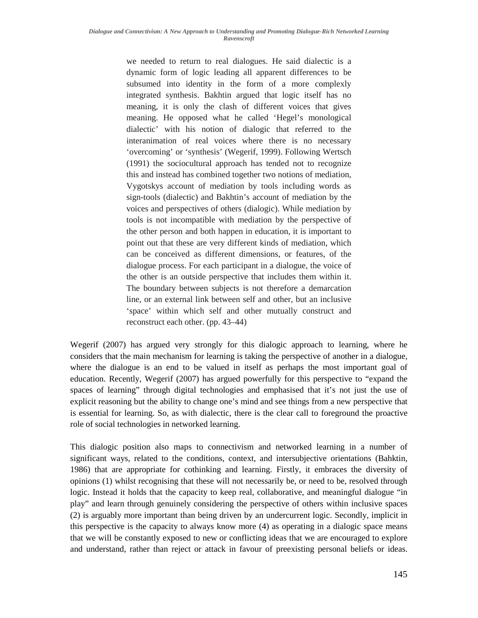we needed to return to real dialogues. He said dialectic is a dynamic form of logic leading all apparent differences to be subsumed into identity in the form of a more complexly integrated synthesis. Bakhtin argued that logic itself has no meaning, it is only the clash of different voices that gives meaning. He opposed what he called 'Hegel's monological dialectic' with his notion of dialogic that referred to the interanimation of real voices where there is no necessary 'overcoming' or 'synthesis' (Wegerif, 1999). Following Wertsch (1991) the sociocultural approach has tended not to recognize this and instead has combined together two notions of mediation, Vygotskys account of mediation by tools including words as sign-tools (dialectic) and Bakhtin's account of mediation by the voices and perspectives of others (dialogic). While mediation by tools is not incompatible with mediation by the perspective of the other person and both happen in education, it is important to point out that these are very different kinds of mediation, which can be conceived as different dimensions, or features, of the dialogue process. For each participant in a dialogue, the voice of the other is an outside perspective that includes them within it. The boundary between subjects is not therefore a demarcation line, or an external link between self and other, but an inclusive 'space' within which self and other mutually construct and reconstruct each other. (pp. 43–44)

Wegerif (2007) has argued very strongly for this dialogic approach to learning, where he considers that the main mechanism for learning is taking the perspective of another in a dialogue, where the dialogue is an end to be valued in itself as perhaps the most important goal of education. Recently, Wegerif (2007) has argued powerfully for this perspective to "expand the spaces of learning" through digital technologies and emphasised that it's not just the use of explicit reasoning but the ability to change one's mind and see things from a new perspective that is essential for learning. So, as with dialectic, there is the clear call to foreground the proactive role of social technologies in networked learning.

This dialogic position also maps to connectivism and networked learning in a number of significant ways, related to the conditions, context, and intersubjective orientations (Bahktin, 1986) that are appropriate for cothinking and learning. Firstly, it embraces the diversity of opinions (1) whilst recognising that these will not necessarily be, or need to be, resolved through logic. Instead it holds that the capacity to keep real, collaborative, and meaningful dialogue "in play" and learn through genuinely considering the perspective of others within inclusive spaces (2) is arguably more important than being driven by an undercurrent logic. Secondly, implicit in this perspective is the capacity to always know more (4) as operating in a dialogic space means that we will be constantly exposed to new or conflicting ideas that we are encouraged to explore and understand, rather than reject or attack in favour of preexisting personal beliefs or ideas.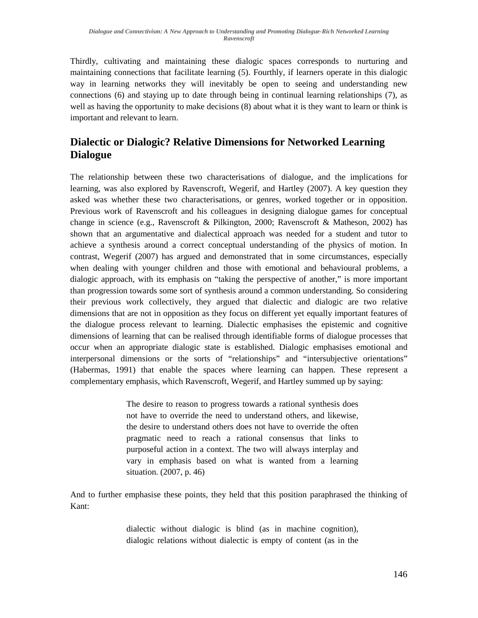Thirdly, cultivating and maintaining these dialogic spaces corresponds to nurturing and maintaining connections that facilitate learning (5). Fourthly, if learners operate in this dialogic way in learning networks they will inevitably be open to seeing and understanding new connections (6) and staying up to date through being in continual learning relationships (7), as well as having the opportunity to make decisions (8) about what it is they want to learn or think is important and relevant to learn.

# **Dialectic or Dialogic? Relative Dimensions for Networked Learning Dialogue**

The relationship between these two characterisations of dialogue, and the implications for learning, was also explored by Ravenscroft, Wegerif, and Hartley (2007). A key question they asked was whether these two characterisations, or genres, worked together or in opposition. Previous work of Ravenscroft and his colleagues in designing dialogue games for conceptual change in science (e.g., Ravenscroft & Pilkington, 2000; Ravenscroft & Matheson, 2002) has shown that an argumentative and dialectical approach was needed for a student and tutor to achieve a synthesis around a correct conceptual understanding of the physics of motion. In contrast, Wegerif (2007) has argued and demonstrated that in some circumstances, especially when dealing with younger children and those with emotional and behavioural problems, a dialogic approach, with its emphasis on "taking the perspective of another," is more important than progression towards some sort of synthesis around a common understanding. So considering their previous work collectively, they argued that dialectic and dialogic are two relative dimensions that are not in opposition as they focus on different yet equally important features of the dialogue process relevant to learning. Dialectic emphasises the epistemic and cognitive dimensions of learning that can be realised through identifiable forms of dialogue processes that occur when an appropriate dialogic state is established. Dialogic emphasises emotional and interpersonal dimensions or the sorts of "relationships" and "intersubjective orientations" (Habermas, 1991) that enable the spaces where learning can happen. These represent a complementary emphasis, which Ravenscroft, Wegerif, and Hartley summed up by saying:

> The desire to reason to progress towards a rational synthesis does not have to override the need to understand others, and likewise, the desire to understand others does not have to override the often pragmatic need to reach a rational consensus that links to purposeful action in a context. The two will always interplay and vary in emphasis based on what is wanted from a learning situation. (2007, p. 46)

And to further emphasise these points, they held that this position paraphrased the thinking of Kant:

> dialectic without dialogic is blind (as in machine cognition), dialogic relations without dialectic is empty of content (as in the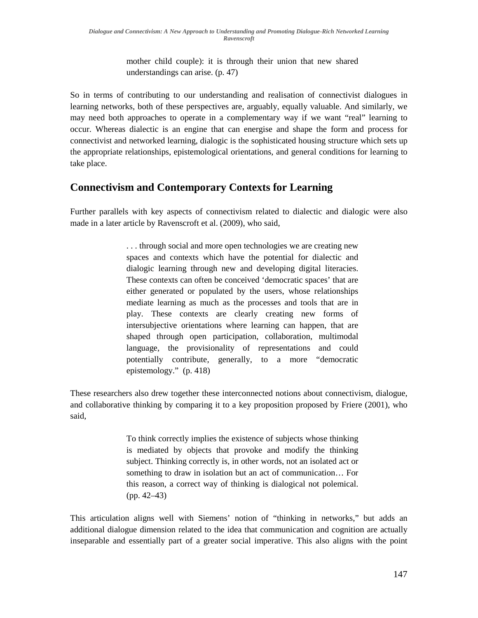mother child couple): it is through their union that new shared understandings can arise. (p. 47)

So in terms of contributing to our understanding and realisation of connectivist dialogues in learning networks, both of these perspectives are, arguably, equally valuable. And similarly, we may need both approaches to operate in a complementary way if we want "real" learning to occur. Whereas dialectic is an engine that can energise and shape the form and process for connectivist and networked learning, dialogic is the sophisticated housing structure which sets up the appropriate relationships, epistemological orientations, and general conditions for learning to take place.

### **Connectivism and Contemporary Contexts for Learning**

Further parallels with key aspects of connectivism related to dialectic and dialogic were also made in a later article by Ravenscroft et al. (2009), who said,

> . . . through social and more open technologies we are creating new spaces and contexts which have the potential for dialectic and dialogic learning through new and developing digital literacies. These contexts can often be conceived 'democratic spaces' that are either generated or populated by the users, whose relationships mediate learning as much as the processes and tools that are in play. These contexts are clearly creating new forms of intersubjective orientations where learning can happen, that are shaped through open participation, collaboration, multimodal language, the provisionality of representations and could potentially contribute, generally, to a more "democratic epistemology." (p. 418)

These researchers also drew together these interconnected notions about connectivism, dialogue, and collaborative thinking by comparing it to a key proposition proposed by Friere (2001), who said,

> To think correctly implies the existence of subjects whose thinking is mediated by objects that provoke and modify the thinking subject. Thinking correctly is, in other words, not an isolated act or something to draw in isolation but an act of communication… For this reason, a correct way of thinking is dialogical not polemical. (pp. 42–43)

This articulation aligns well with Siemens' notion of "thinking in networks," but adds an additional dialogue dimension related to the idea that communication and cognition are actually inseparable and essentially part of a greater social imperative. This also aligns with the point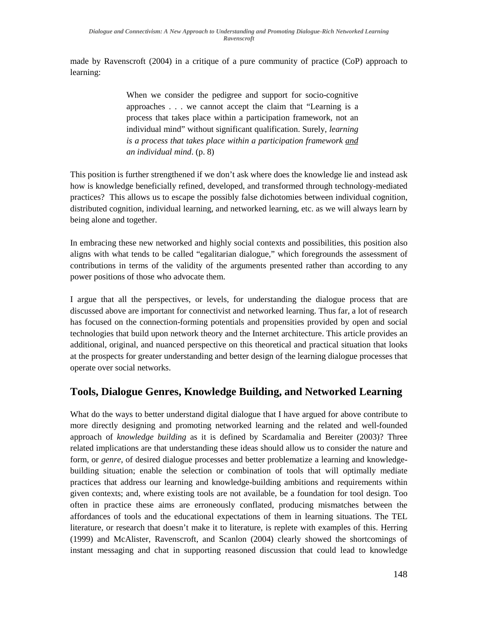made by Ravenscroft (2004) in a critique of a pure community of practice (CoP) approach to learning:

> When we consider the pedigree and support for socio-cognitive approaches . . . we cannot accept the claim that "Learning is a process that takes place within a participation framework, not an individual mind" without significant qualification. Surely, *learning is a process that takes place within a participation framework and an individual mind*. (p. 8)

This position is further strengthened if we don't ask where does the knowledge lie and instead ask how is knowledge beneficially refined, developed, and transformed through technology-mediated practices? This allows us to escape the possibly false dichotomies between individual cognition, distributed cognition, individual learning, and networked learning, etc. as we will always learn by being alone and together.

In embracing these new networked and highly social contexts and possibilities, this position also aligns with what tends to be called "egalitarian dialogue," which foregrounds the assessment of contributions in terms of the validity of the arguments presented rather than according to any power positions of those who advocate them.

I argue that all the perspectives, or levels, for understanding the dialogue process that are discussed above are important for connectivist and networked learning. Thus far, a lot of research has focused on the connection-forming potentials and propensities provided by open and social technologies that build upon network theory and the Internet architecture. This article provides an additional, original, and nuanced perspective on this theoretical and practical situation that looks at the prospects for greater understanding and better design of the learning dialogue processes that operate over social networks.

# **Tools, Dialogue Genres, Knowledge Building, and Networked Learning**

What do the ways to better understand digital dialogue that I have argued for above contribute to more directly designing and promoting networked learning and the related and well-founded approach of *knowledge building* as it is defined by Scardamalia and Bereiter (2003)? Three related implications are that understanding these ideas should allow us to consider the nature and form, or *genre*, of desired dialogue processes and better problematize a learning and knowledgebuilding situation; enable the selection or combination of tools that will optimally mediate practices that address our learning and knowledge-building ambitions and requirements within given contexts; and, where existing tools are not available, be a foundation for tool design. Too often in practice these aims are erroneously conflated, producing mismatches between the affordances of tools and the educational expectations of them in learning situations. The TEL literature, or research that doesn't make it to literature, is replete with examples of this. Herring (1999) and McAlister, Ravenscroft, and Scanlon (2004) clearly showed the shortcomings of instant messaging and chat in supporting reasoned discussion that could lead to knowledge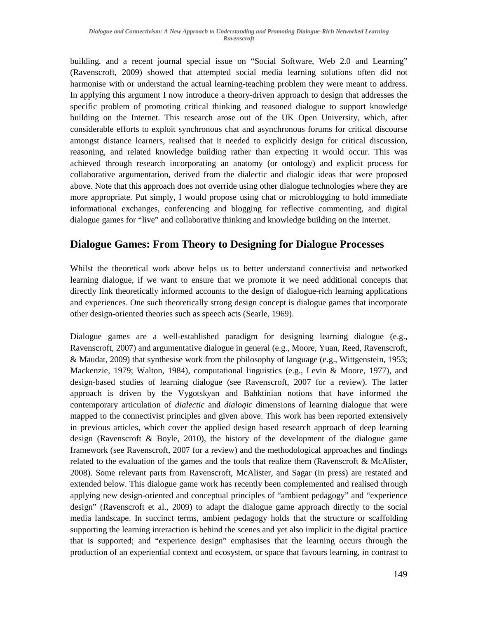building, and a recent journal special issue on "Social Software, Web 2.0 and Learning" (Ravenscroft, 2009) showed that attempted social media learning solutions often did not harmonise with or understand the actual learning-teaching problem they were meant to address. In applying this argument I now introduce a theory-driven approach to design that addresses the specific problem of promoting critical thinking and reasoned dialogue to support knowledge building on the Internet. This research arose out of the UK Open University, which, after considerable efforts to exploit synchronous chat and asynchronous forums for critical discourse amongst distance learners, realised that it needed to explicitly design for critical discussion, reasoning, and related knowledge building rather than expecting it would occur. This was achieved through research incorporating an anatomy (or ontology) and explicit process for collaborative argumentation, derived from the dialectic and dialogic ideas that were proposed above. Note that this approach does not override using other dialogue technologies where they are more appropriate. Put simply, I would propose using chat or microblogging to hold immediate informational exchanges, conferencing and blogging for reflective commenting, and digital dialogue games for "live" and collaborative thinking and knowledge building on the Internet.

#### **Dialogue Games: From Theory to Designing for Dialogue Processes**

Whilst the theoretical work above helps us to better understand connectivist and networked learning dialogue, if we want to ensure that we promote it we need additional concepts that directly link theoretically informed accounts to the design of dialogue-rich learning applications and experiences. One such theoretically strong design concept is dialogue games that incorporate other design-oriented theories such as speech acts (Searle, 1969).

Dialogue games are a well-established paradigm for designing learning dialogue (e.g., Ravenscroft, 2007) and argumentative dialogue in general (e.g., Moore, Yuan, Reed, Ravenscroft, & Maudat, 2009) that synthesise work from the philosophy of language (e.g., Wittgenstein, 1953; Mackenzie, 1979; Walton, 1984), computational linguistics (e.g., Levin & Moore, 1977), and design-based studies of learning dialogue (see Ravenscroft, 2007 for a review). The latter approach is driven by the Vygotskyan and Bahktinian notions that have informed the contemporary articulation of *dialectic* and *dialogic* dimensions of learning dialogue that were mapped to the connectivist principles and given above. This work has been reported extensively in previous articles, which cover the applied design based research approach of deep learning design (Ravenscroft & Boyle, 2010), the history of the development of the dialogue game framework (see Ravenscroft, 2007 for a review) and the methodological approaches and findings related to the evaluation of the games and the tools that realize them (Ravenscroft & McAlister, 2008). Some relevant parts from Ravenscroft, McAlister, and Sagar (in press) are restated and extended below. This dialogue game work has recently been complemented and realised through applying new design-oriented and conceptual principles of "ambient pedagogy" and "experience design" (Ravenscroft et al., 2009) to adapt the dialogue game approach directly to the social media landscape. In succinct terms, ambient pedagogy holds that the structure or scaffolding supporting the learning interaction is behind the scenes and yet also implicit in the digital practice that is supported; and "experience design" emphasises that the learning occurs through the production of an experiential context and ecosystem, or space that favours learning, in contrast to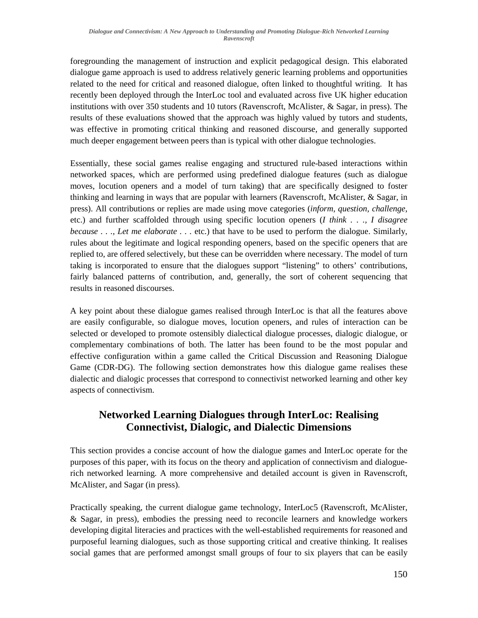foregrounding the management of instruction and explicit pedagogical design. This elaborated dialogue game approach is used to address relatively generic learning problems and opportunities related to the need for critical and reasoned dialogue, often linked to thoughtful writing. It has recently been deployed through the InterLoc tool and evaluated across five UK higher education institutions with over 350 students and 10 tutors (Ravenscroft, McAlister, & Sagar, in press). The results of these evaluations showed that the approach was highly valued by tutors and students, was effective in promoting critical thinking and reasoned discourse, and generally supported much deeper engagement between peers than is typical with other dialogue technologies.

Essentially, these social games realise engaging and structured rule-based interactions within networked spaces, which are performed using predefined dialogue features (such as dialogue moves, locution openers and a model of turn taking) that are specifically designed to foster thinking and learning in ways that are popular with learners (Ravenscroft, McAlister, & Sagar, in press). All contributions or replies are made using move categories (*inform, question, challenge*, etc.) and further scaffolded through using specific locution openers (*I think . . ., I disagree because . . ., Let me elaborate . . .* etc.) that have to be used to perform the dialogue. Similarly, rules about the legitimate and logical responding openers, based on the specific openers that are replied to, are offered selectively, but these can be overridden where necessary. The model of turn taking is incorporated to ensure that the dialogues support "listening" to others' contributions, fairly balanced patterns of contribution, and, generally, the sort of coherent sequencing that results in reasoned discourses.

A key point about these dialogue games realised through InterLoc is that all the features above are easily configurable, so dialogue moves, locution openers, and rules of interaction can be selected or developed to promote ostensibly dialectical dialogue processes, dialogic dialogue, or complementary combinations of both. The latter has been found to be the most popular and effective configuration within a game called the Critical Discussion and Reasoning Dialogue Game (CDR-DG). The following section demonstrates how this dialogue game realises these dialectic and dialogic processes that correspond to connectivist networked learning and other key aspects of connectivism.

### **Networked Learning Dialogues through InterLoc: Realising Connectivist, Dialogic, and Dialectic Dimensions**

This section provides a concise account of how the dialogue games and InterLoc operate for the purposes of this paper, with its focus on the theory and application of connectivism and dialoguerich networked learning. A more comprehensive and detailed account is given in Ravenscroft, McAlister, and Sagar (in press).

Practically speaking, the current dialogue game technology, InterLoc5 (Ravenscroft, McAlister, & Sagar, in press), embodies the pressing need to reconcile learners and knowledge workers developing digital literacies and practices with the well-established requirements for reasoned and purposeful learning dialogues, such as those supporting critical and creative thinking. It realises social games that are performed amongst small groups of four to six players that can be easily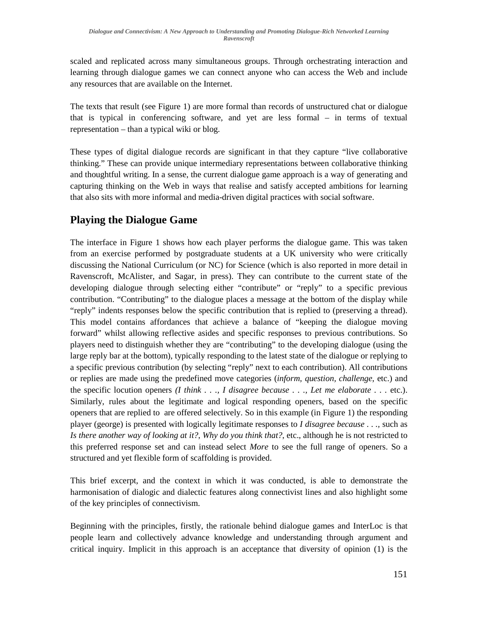scaled and replicated across many simultaneous groups. Through orchestrating interaction and learning through dialogue games we can connect anyone who can access the Web and include any resources that are available on the Internet.

The texts that result (see Figure 1) are more formal than records of unstructured chat or dialogue that is typical in conferencing software, and yet are less formal – in terms of textual representation – than a typical wiki or blog.

These types of digital dialogue records are significant in that they capture "live collaborative thinking." These can provide unique intermediary representations between collaborative thinking and thoughtful writing. In a sense, the current dialogue game approach is a way of generating and capturing thinking on the Web in ways that realise and satisfy accepted ambitions for learning that also sits with more informal and media-driven digital practices with social software.

# **Playing the Dialogue Game**

The interface in Figure 1 shows how each player performs the dialogue game. This was taken from an exercise performed by postgraduate students at a UK university who were critically discussing the National Curriculum (or NC) for Science (which is also reported in more detail in Ravenscroft, McAlister, and Sagar, in press). They can contribute to the current state of the developing dialogue through selecting either "contribute" or "reply" to a specific previous contribution. "Contributing" to the dialogue places a message at the bottom of the display while "reply" indents responses below the specific contribution that is replied to (preserving a thread). This model contains affordances that achieve a balance of "keeping the dialogue moving forward" whilst allowing reflective asides and specific responses to previous contributions. So players need to distinguish whether they are "contributing" to the developing dialogue (using the large reply bar at the bottom), typically responding to the latest state of the dialogue or replying to a specific previous contribution (by selecting "reply" next to each contribution). All contributions or replies are made using the predefined move categories (*inform, question, challenge*, etc.) and the specific locution openers *(I think . . ., I disagree because . . ., Let me elaborate . . .* etc.). Similarly, rules about the legitimate and logical responding openers, based on the specific openers that are replied to are offered selectively. So in this example (in Figure 1) the responding player (george) is presented with logically legitimate responses to *I disagree because . . .,* such as *Is there another way of looking at it?*, *Why do you think that?*, etc., although he is not restricted to this preferred response set and can instead select *More* to see the full range of openers. So a structured and yet flexible form of scaffolding is provided.

This brief excerpt, and the context in which it was conducted, is able to demonstrate the harmonisation of dialogic and dialectic features along connectivist lines and also highlight some of the key principles of connectivism.

Beginning with the principles, firstly, the rationale behind dialogue games and InterLoc is that people learn and collectively advance knowledge and understanding through argument and critical inquiry. Implicit in this approach is an acceptance that diversity of opinion (1) is the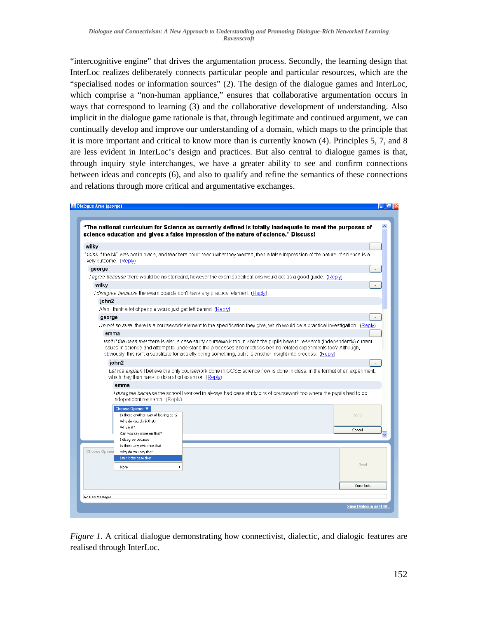"intercognitive engine" that drives the argumentation process. Secondly, the learning design that InterLoc realizes deliberately connects particular people and particular resources, which are the "specialised nodes or information sources" (2). The design of the dialogue games and InterLoc, which comprise a "non-human appliance," ensures that collaborative argumentation occurs in ways that correspond to learning (3) and the collaborative development of understanding. Also implicit in the dialogue game rationale is that, through legitimate and continued argument, we can continually develop and improve our understanding of a domain, which maps to the principle that it is more important and critical to know more than is currently known (4). Principles 5, 7, and 8 are less evident in InterLoc's design and practices. But also central to dialogue games is that, through inquiry style interchanges, we have a greater ability to see and confirm connections between ideas and concepts (6), and also to qualify and refine the semantics of these connections and relations through more critical and argumentative exchanges.

|                                                                             | "The national curriculum for Science as currently defined is totally inadequate to meet the purposes of<br>science education and gives a false impression of the nature of science." Discuss!                                       |            |
|-----------------------------------------------------------------------------|-------------------------------------------------------------------------------------------------------------------------------------------------------------------------------------------------------------------------------------|------------|
| wilky                                                                       |                                                                                                                                                                                                                                     | $\sim$     |
| likely outcome. (Reply)                                                     | I think if the NC was not in place, and teachers could teach what they wanted, then a false impression of the nature of science is a                                                                                                |            |
| george                                                                      |                                                                                                                                                                                                                                     |            |
|                                                                             | I agree because there would be no standard, however the exam specifications would act as a good guide. (Reply)                                                                                                                      |            |
| wilky                                                                       |                                                                                                                                                                                                                                     | $\sim$     |
| I disagree because the exam boards don't have any practical element (Reply) |                                                                                                                                                                                                                                     |            |
| john <sub>2</sub>                                                           |                                                                                                                                                                                                                                     |            |
| Also i think a lot of people would just get left behind (Reply)             |                                                                                                                                                                                                                                     |            |
| george                                                                      |                                                                                                                                                                                                                                     |            |
|                                                                             | I'm not so sure, there is a coursework element to the specification they give, which would be a practical investigation. (Reply)                                                                                                    |            |
| emma                                                                        |                                                                                                                                                                                                                                     |            |
| john2                                                                       | issues in science and attempt to understand the processes and methods behind related experiments too? Although,<br>obviously, this isn't a substitute for actually doing something, but it is another insight into process. (Reply) | $\sim$     |
| which they then have to do a short exam on (Reply)                          | Let me explain I believe the only coursework done in GCSE science now is done in class, in the format of an experiment,                                                                                                             |            |
| emma                                                                        |                                                                                                                                                                                                                                     |            |
| independent research. (Reply)                                               | I disagree because the school I worked in always had case study bits of coursework too where the pupils had to do                                                                                                                   |            |
| Choose Opener ▼                                                             |                                                                                                                                                                                                                                     |            |
| Is there another way of looking at it?                                      |                                                                                                                                                                                                                                     | Send       |
|                                                                             |                                                                                                                                                                                                                                     |            |
| Why do you think that?<br>Why is it?                                        |                                                                                                                                                                                                                                     |            |
| Can you say more on that?                                                   |                                                                                                                                                                                                                                     | Cancel     |
| I disagree because                                                          |                                                                                                                                                                                                                                     |            |
| Is there any evidence that                                                  |                                                                                                                                                                                                                                     |            |
| <b>Choose Opener</b><br>Why do you say that<br>Isn't it the case that       |                                                                                                                                                                                                                                     |            |
| More                                                                        |                                                                                                                                                                                                                                     | Send       |
|                                                                             |                                                                                                                                                                                                                                     |            |
|                                                                             |                                                                                                                                                                                                                                     | Contribute |

*Figure 1*. A critical dialogue demonstrating how connectivist, dialectic, and dialogic features are realised through InterLoc.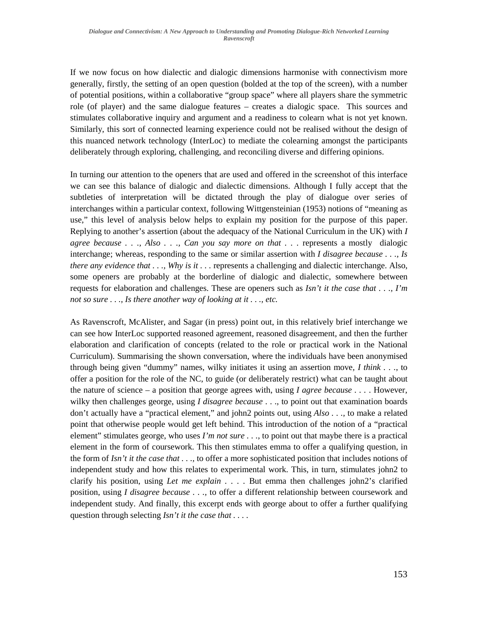If we now focus on how dialectic and dialogic dimensions harmonise with connectivism more generally, firstly, the setting of an open question (bolded at the top of the screen), with a number of potential positions, within a collaborative "group space" where all players share the symmetric role (of player) and the same dialogue features – creates a dialogic space. This sources and stimulates collaborative inquiry and argument and a readiness to colearn what is not yet known. Similarly, this sort of connected learning experience could not be realised without the design of this nuanced network technology (InterLoc) to mediate the colearning amongst the participants deliberately through exploring, challenging, and reconciling diverse and differing opinions.

In turning our attention to the openers that are used and offered in the screenshot of this interface we can see this balance of dialogic and dialectic dimensions. Although I fully accept that the subtleties of interpretation will be dictated through the play of dialogue over series of interchanges within a particular context, following Wittgensteinian (1953) notions of "meaning as use," this level of analysis below helps to explain my position for the purpose of this paper. Replying to another's assertion (about the adequacy of the National Curriculum in the UK) with *I agree because . . ., Also . . ., Can you say more on that . . .* represents a mostly dialogic interchange; whereas, responding to the same or similar assertion with *I disagree because . . ., Is there any evidence that . . ., Why is it . . .* represents a challenging and dialectic interchange. Also, some openers are probably at the borderline of dialogic and dialectic, somewhere between requests for elaboration and challenges. These are openers such as *Isn't it the case that . . ., I'm not so sure . . ., Is there another way of looking at it . . ., etc.*

As Ravenscroft, McAlister, and Sagar (in press) point out, in this relatively brief interchange we can see how InterLoc supported reasoned agreement, reasoned disagreement, and then the further elaboration and clarification of concepts (related to the role or practical work in the National Curriculum). Summarising the shown conversation, where the individuals have been anonymised through being given "dummy" names, wilky initiates it using an assertion move, *I think . . .*, to offer a position for the role of the NC, to guide (or deliberately restrict) what can be taught about the nature of science – a position that george agrees with, using *I agree because . . .* . However, wilky then challenges george, using *I disagree because* . . ., to point out that examination boards don't actually have a "practical element," and john2 points out, using *Also . . .,* to make a related point that otherwise people would get left behind. This introduction of the notion of a "practical element" stimulates george, who uses *I'm not sure . . .*, to point out that maybe there is a practical element in the form of coursework. This then stimulates emma to offer a qualifying question, in the form of *Isn't it the case that . . .,* to offer a more sophisticated position that includes notions of independent study and how this relates to experimental work. This, in turn, stimulates john2 to clarify his position, using *Let me explain . . . .* But emma then challenges john2's clarified position, using *I disagree because . . .,* to offer a different relationship between coursework and independent study. And finally, this excerpt ends with george about to offer a further qualifying question through selecting *Isn't it the case that . . . .*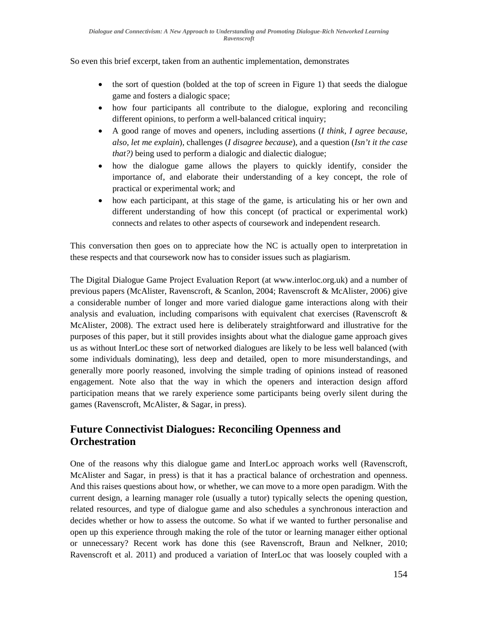So even this brief excerpt, taken from an authentic implementation, demonstrates

- the sort of question (bolded at the top of screen in Figure 1) that seeds the dialogue game and fosters a dialogic space;
- how four participants all contribute to the dialogue, exploring and reconciling different opinions, to perform a well-balanced critical inquiry;
- A good range of moves and openers, including assertions (*I think, I agree because, also, let me explain*), challenges (*I disagree because*), and a question (*Isn't it the case that?)* being used to perform a dialogic and dialectic dialogue;
- how the dialogue game allows the players to quickly identify, consider the importance of, and elaborate their understanding of a key concept, the role of practical or experimental work; and
- how each participant, at this stage of the game, is articulating his or her own and different understanding of how this concept (of practical or experimental work) connects and relates to other aspects of coursework and independent research.

This conversation then goes on to appreciate how the NC is actually open to interpretation in these respects and that coursework now has to consider issues such as plagiarism.

The Digital Dialogue Game Project Evaluation Report (at www.interloc.org.uk) and a number of previous papers (McAlister, Ravenscroft, & Scanlon, 2004; Ravenscroft & McAlister, 2006) give a considerable number of longer and more varied dialogue game interactions along with their analysis and evaluation, including comparisons with equivalent chat exercises (Ravenscroft  $\&$ McAlister, 2008). The extract used here is deliberately straightforward and illustrative for the purposes of this paper, but it still provides insights about what the dialogue game approach gives us as without InterLoc these sort of networked dialogues are likely to be less well balanced (with some individuals dominating), less deep and detailed, open to more misunderstandings, and generally more poorly reasoned, involving the simple trading of opinions instead of reasoned engagement. Note also that the way in which the openers and interaction design afford participation means that we rarely experience some participants being overly silent during the games (Ravenscroft, McAlister, & Sagar, in press).

# **Future Connectivist Dialogues: Reconciling Openness and Orchestration**

One of the reasons why this dialogue game and InterLoc approach works well (Ravenscroft, McAlister and Sagar, in press) is that it has a practical balance of orchestration and openness. And this raises questions about how, or whether, we can move to a more open paradigm. With the current design, a learning manager role (usually a tutor) typically selects the opening question, related resources, and type of dialogue game and also schedules a synchronous interaction and decides whether or how to assess the outcome. So what if we wanted to further personalise and open up this experience through making the role of the tutor or learning manager either optional or unnecessary? Recent work has done this (see Ravenscroft, Braun and Nelkner, 2010; Ravenscroft et al. 2011) and produced a variation of InterLoc that was loosely coupled with a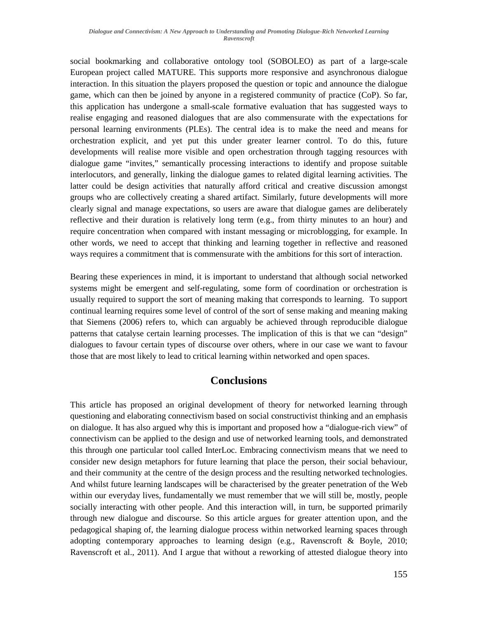social bookmarking and collaborative ontology tool (SOBOLEO) as part of a large-scale European project called MATURE. This supports more responsive and asynchronous dialogue interaction. In this situation the players proposed the question or topic and announce the dialogue game, which can then be joined by anyone in a registered community of practice (CoP). So far, this application has undergone a small-scale formative evaluation that has suggested ways to realise engaging and reasoned dialogues that are also commensurate with the expectations for personal learning environments (PLEs). The central idea is to make the need and means for orchestration explicit, and yet put this under greater learner control. To do this, future developments will realise more visible and open orchestration through tagging resources with dialogue game "invites," semantically processing interactions to identify and propose suitable interlocutors, and generally, linking the dialogue games to related digital learning activities. The latter could be design activities that naturally afford critical and creative discussion amongst groups who are collectively creating a shared artifact. Similarly, future developments will more clearly signal and manage expectations, so users are aware that dialogue games are deliberately reflective and their duration is relatively long term (e.g., from thirty minutes to an hour) and require concentration when compared with instant messaging or microblogging, for example. In other words, we need to accept that thinking and learning together in reflective and reasoned ways requires a commitment that is commensurate with the ambitions for this sort of interaction.

Bearing these experiences in mind, it is important to understand that although social networked systems might be emergent and self-regulating, some form of coordination or orchestration is usually required to support the sort of meaning making that corresponds to learning. To support continual learning requires some level of control of the sort of sense making and meaning making that Siemens (2006) refers to, which can arguably be achieved through reproducible dialogue patterns that catalyse certain learning processes. The implication of this is that we can "design" dialogues to favour certain types of discourse over others, where in our case we want to favour those that are most likely to lead to critical learning within networked and open spaces.

#### **Conclusions**

This article has proposed an original development of theory for networked learning through questioning and elaborating connectivism based on social constructivist thinking and an emphasis on dialogue. It has also argued why this is important and proposed how a "dialogue-rich view" of connectivism can be applied to the design and use of networked learning tools, and demonstrated this through one particular tool called InterLoc. Embracing connectivism means that we need to consider new design metaphors for future learning that place the person, their social behaviour, and their community at the centre of the design process and the resulting networked technologies. And whilst future learning landscapes will be characterised by the greater penetration of the Web within our everyday lives, fundamentally we must remember that we will still be, mostly, people socially interacting with other people. And this interaction will, in turn, be supported primarily through new dialogue and discourse. So this article argues for greater attention upon, and the pedagogical shaping of, the learning dialogue process within networked learning spaces through adopting contemporary approaches to learning design (e.g., Ravenscroft & Boyle, 2010; Ravenscroft et al., 2011). And I argue that without a reworking of attested dialogue theory into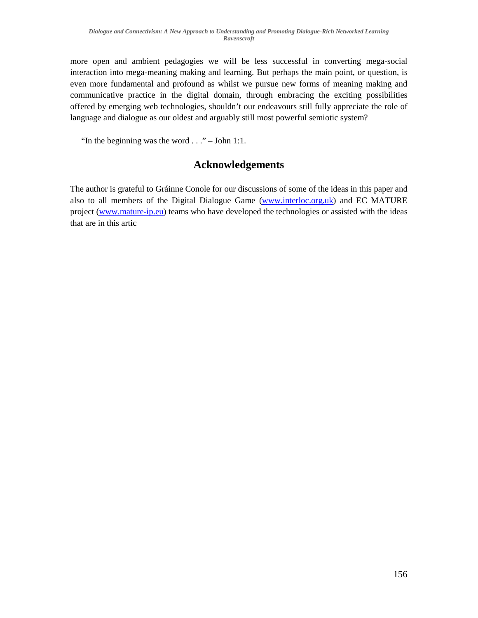more open and ambient pedagogies we will be less successful in converting mega-social interaction into mega-meaning making and learning. But perhaps the main point, or question, is even more fundamental and profound as whilst we pursue new forms of meaning making and communicative practice in the digital domain, through embracing the exciting possibilities offered by emerging web technologies, shouldn't our endeavours still fully appreciate the role of language and dialogue as our oldest and arguably still most powerful semiotic system?

"In the beginning was the word  $\ldots$ " – John 1:1.

#### **Acknowledgements**

The author is grateful to Gráinne Conole for our discussions of some of the ideas in this paper and also to all members of the Digital Dialogue Game [\(www.interloc.org.uk\)](http://www.interloc.org.uk/) and EC MATURE project [\(www.mature-ip.eu\)](http://www.mature-ip,eu/) teams who have developed the technologies or assisted with the ideas that are in this artic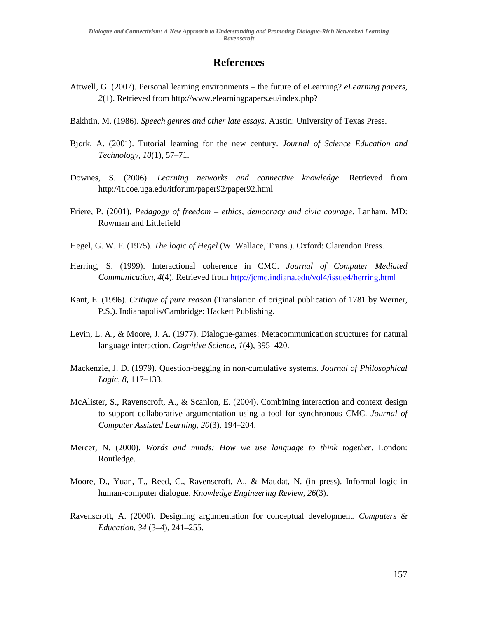#### **References**

- Attwell, G. (2007). Personal learning environments the future of eLearning? *eLearning papers*, *2*(1). Retrieved from http://www.elearningpapers.eu/index.php?
- Bakhtin, M. (1986). *Speech genres and other late essays*. Austin: University of Texas Press.
- Bjork, A. (2001). Tutorial learning for the new century. *Journal of Science Education and Technology*, *10*(1), 57–71.
- Downes, S. (2006). *Learning networks and connective knowledge*. Retrieved from http://it.coe.uga.edu/itforum/paper92/paper92.html
- Friere, P. (2001). *Pedagogy of freedom – ethics, democracy and civic courage*. Lanham, MD: Rowman and Littlefield
- Hegel, G. W. F. (1975). *The logic of Hegel* (W. Wallace, Trans.). Oxford: Clarendon Press.
- Herring, S. (1999). Interactional coherence in CMC. *Journal of Computer Mediated Communication*, *4*(4). Retrieved from<http://jcmc.indiana.edu/vol4/issue4/herring.html>
- Kant, E. (1996). *Critique of pure reason* (Translation of original publication of 1781 by Werner, P.S.). Indianapolis/Cambridge: Hackett Publishing.
- Levin, L. A., & Moore, J. A. (1977). Dialogue-games: Metacommunication structures for natural language interaction. *Cognitive Science*, *1*(4), 395–420.
- Mackenzie, J. D. (1979). Question-begging in non-cumulative systems. *Journal of Philosophical Logic, 8*, 117–133.
- McAlister, S., Ravenscroft, A., & Scanlon, E. (2004). Combining interaction and context design to support collaborative argumentation using a tool for synchronous CMC. *Journal of Computer Assisted Learning*, *20*(3), 194–204.
- Mercer, N. (2000). *Words and minds: How we use language to think together*. London: Routledge.
- Moore, D., Yuan, T., Reed, C., Ravenscroft, A., & Maudat, N. (in press). Informal logic in human-computer dialogue. *Knowledge Engineering Review*, *26*(3).
- Ravenscroft, A. (2000). Designing argumentation for conceptual development. *Computers & Education*, *34* (3–4), 241–255.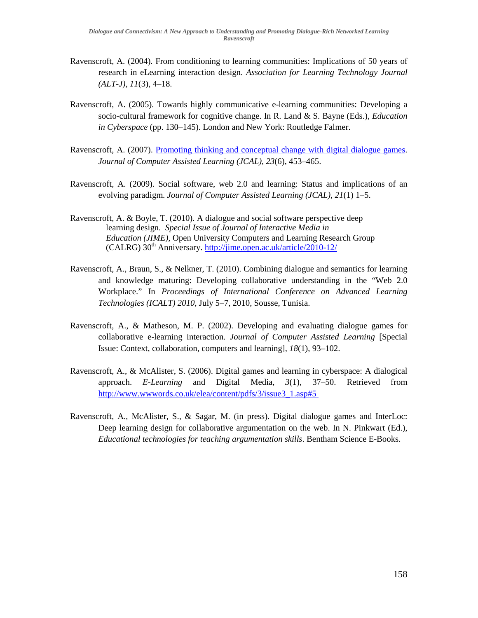- Ravenscroft, A. (2004). From conditioning to learning communities: Implications of 50 years of research in eLearning interaction design. *Association for Learning Technology Journal (ALT-J)*, *11*(3), 4–18.
- Ravenscroft, A. (2005). Towards highly communicative e-learning communities: Developing a socio-cultural framework for cognitive change. In R. Land & S. Bayne (Eds.), *Education in Cyberspace* (pp. 130–145). London and New York: Routledge Falmer.
- Ravenscroft, A. (2007). [Promoting thinking and conceptual change with digital dialogue games.](http://www.interloc.org/pubs/DDGs_JCAL%28AR%29.pdf) *Journal of Computer Assisted Learning (JCAL)*, *23*(6), 453–465.
- Ravenscroft, A. (2009). Social software, web 2.0 and learning: Status and implications of an evolving paradigm. *Journal of Computer Assisted Learning (JCAL)*, *21*(1) 1–5.
- Ravenscroft, A. & Boyle, T. (2010). A dialogue and social software perspective deep learning design. *Special Issue of Journal of Interactive Media in Education (JIME),* Open University Computers and Learning Research Group (CALRG)  $30<sup>th</sup>$  Anniversary.<http://jime.open.ac.uk/article/2010-12/>
- Ravenscroft, A., Braun, S., & Nelkner, T. (2010). Combining dialogue and semantics for learning and knowledge maturing: Developing collaborative understanding in the "Web 2.0 Workplace." In *Proceedings of International Conference on Advanced Learning Technologies (ICALT) 2010*, July 5–7, 2010, Sousse, Tunisia.
- Ravenscroft, A., & Matheson, M. P. (2002). Developing and evaluating dialogue games for collaborative e-learning interaction. *Journal of Computer Assisted Learning* [Special Issue: Context, collaboration, computers and learning], *18*(1), 93–102.
- Ravenscroft, A., & McAlister, S. (2006). Digital games and learning in cyberspace: A dialogical approach. *E-Learning* and Digital Media, *3*(1), 37–50. Retrieved from [http://www.wwwords.co.uk/elea/content/pdfs/3/issue3\\_1.asp#5](http://www.wwwords.co.uk/elea/content/pdfs/3/issue3_1.asp#5)
- Ravenscroft, A., McAlister, S., & Sagar, M. (in press). Digital dialogue games and InterLoc: Deep learning design for collaborative argumentation on the web. In N. Pinkwart (Ed.), *Educational technologies for teaching argumentation skills*. Bentham Science E-Books.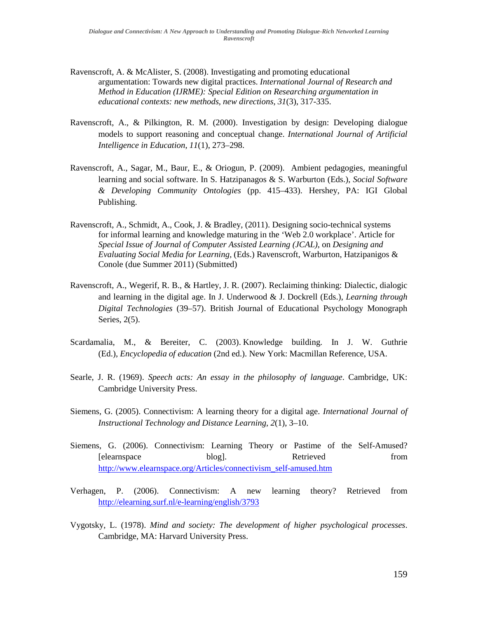- Ravenscroft, A. & McAlister, S. (2008). Investigating and promoting educational argumentation: Towards new digital practices. *International Journal of Research and Method in Education (IJRME): Special Edition on Researching argumentation in educational contexts: new methods, new directions, 31*(3), 317-335.
- Ravenscroft, A., & Pilkington, R. M. (2000). Investigation by design: Developing dialogue models to support reasoning and conceptual change. *International Journal of Artificial Intelligence in Education*, *11*(1), 273–298.
- Ravenscroft, A., Sagar, M., Baur, E., & Oriogun, P. (2009). Ambient pedagogies, meaningful learning and social software. In S. Hatzipanagos & S. Warburton (Eds.), *Social Software & Developing Community Ontologies* (pp. 415–433). Hershey, PA: IGI Global Publishing.
- Ravenscroft, A., Schmidt, A., Cook, J. & Bradley, (2011). Designing socio-technical systems for informal learning and knowledge maturing in the 'Web 2.0 workplace'. Article for *Special Issue of Journal of Computer Assisted Learning (JCAL)*, on *Designing and Evaluating Social Media for Learning,* (Eds.) Ravenscroft, Warburton, Hatzipanigos & Conole (due Summer 2011) (Submitted)
- Ravenscroft, A., Wegerif, R. B., & Hartley, J. R. (2007). Reclaiming thinking: Dialectic, dialogic and learning in the digital age. In J. Underwood & J. Dockrell (Eds.), *Learning through Digital Technologies* (39–57). British Journal of Educational Psychology Monograph Series, 2(5).
- Scardamalia, M., & Bereiter, C. (2003). Knowledge building. In J. W. Guthrie (Ed.), *Encyclopedia of education* (2nd ed.). New York: Macmillan Reference, USA.
- Searle, J. R. (1969). *Speech acts: An essay in the philosophy of language*. Cambridge, UK: Cambridge University Press.
- Siemens, G. (2005). Connectivism: A learning theory for a digital age. *International Journal of Instructional Technology and Distance Learning, 2*(1), 3–10.
- Siemens, G. (2006). Connectivism: Learning Theory or Pastime of the Self-Amused? [elearnspace blog]. Retrieved from [http://www.elearnspace.org/Articles/connectivism\\_self-amused.htm](http://www.elearnspace.org/Articles/connectivism_self-amused.htm)
- Verhagen, P. (2006). Connectivism: A new learning theory? Retrieved from <http://elearning.surf.nl/e-learning/english/3793>
- Vygotsky, L. (1978). *Mind and society: The development of higher psychological processes*. Cambridge, MA: Harvard University Press.